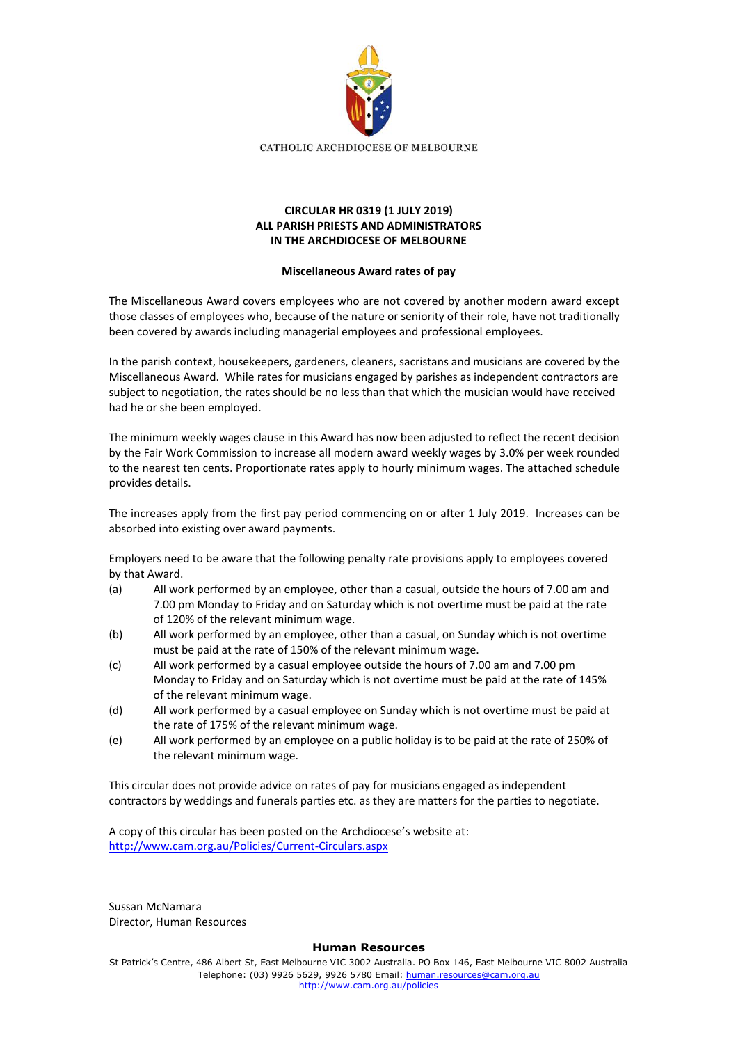

## **CIRCULAR HR 0319 (1 JULY 2019) ALL PARISH PRIESTS AND ADMINISTRATORS IN THE ARCHDIOCESE OF MELBOURNE**

## **Miscellaneous Award rates of pay**

The Miscellaneous Award covers employees who are not covered by another modern award except those classes of employees who, because of the nature or seniority of their role, have not traditionally been covered by awards including managerial employees and professional employees.

In the parish context, housekeepers, gardeners, cleaners, sacristans and musicians are covered by the Miscellaneous Award. While rates for musicians engaged by parishes as independent contractors are subject to negotiation, the rates should be no less than that which the musician would have received had he or she been employed.

The minimum weekly wages clause in this Award has now been adjusted to reflect the recent decision by the Fair Work Commission to increase all modern award weekly wages by 3.0% per week rounded to the nearest ten cents. Proportionate rates apply to hourly minimum wages. The attached schedule provides details.

The increases apply from the first pay period commencing on or after 1 July 2019. Increases can be absorbed into existing over award payments.

Employers need to be aware that the following penalty rate provisions apply to employees covered by that Award.

- (a) All work performed by an employee, other than a casual, outside the hours of 7.00 am and 7.00 pm Monday to Friday and on Saturday which is not overtime must be paid at the rate of 120% of the relevant minimum wage.
- (b) All work performed by an employee, other than a casual, on Sunday which is not overtime must be paid at the rate of 150% of the relevant minimum wage.
- (c) All work performed by a casual employee outside the hours of 7.00 am and 7.00 pm Monday to Friday and on Saturday which is not overtime must be paid at the rate of 145% of the relevant minimum wage.
- (d) All work performed by a casual employee on Sunday which is not overtime must be paid at the rate of 175% of the relevant minimum wage.
- (e) All work performed by an employee on a public holiday is to be paid at the rate of 250% of the relevant minimum wage.

This circular does not provide advice on rates of pay for musicians engaged as independent contractors by weddings and funerals parties etc. as they are matters for the parties to negotiate.

A copy of this circular has been posted on the Archdiocese's website at: <http://www.cam.org.au/Policies/Current-Circulars.aspx>

Sussan McNamara Director, Human Resources

## **Human Resources**

St Patrick's Centre, 486 Albert St, East Melbourne VIC 3002 Australia. PO Box 146, East Melbourne VIC 8002 Australia Telephone: (03) 9926 5629, 9926 5780 Email: [human.resources@cam.org.au](mailto:human.resources@cam.org.au) <http://www.cam.org.au/policies>